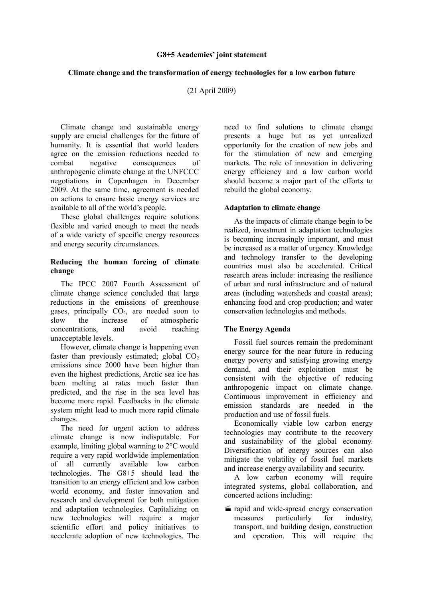#### **G8+5 Academies' joint statement**

### **Climate change and the transformation of energy technologies for a low carbon future**

(21 April 2009)

Climate change and sustainable energy supply are crucial challenges for the future of humanity. It is essential that world leaders agree on the emission reductions needed to combat negative consequences of anthropogenic climate change at the UNFCCC negotiations in Copenhagen in December 2009. At the same time, agreement is needed on actions to ensure basic energy services are available to all of the world's people.

These global challenges require solutions flexible and varied enough to meet the needs of a wide variety of specific energy resources and energy security circumstances.

## **Reducing the human forcing of climate change**

The IPCC 2007 Fourth Assessment of climate change science concluded that large reductions in the emissions of greenhouse gases, principally  $CO<sub>2</sub>$ , are needed soon to slow the increase of atmospheric slow the increase of atmospheric concentrations, and avoid reaching unacceptable levels.

However, climate change is happening even faster than previously estimated; global  $CO<sub>2</sub>$ emissions since 2000 have been higher than even the highest predictions, Arctic sea ice has been melting at rates much faster than predicted, and the rise in the sea level has become more rapid. Feedbacks in the climate system might lead to much more rapid climate changes.

The need for urgent action to address climate change is now indisputable. For example, limiting global warming to 2°C would require a very rapid worldwide implementation of all currently available low carbon technologies. The G8+5 should lead the transition to an energy efficient and low carbon world economy, and foster innovation and research and development for both mitigation and adaptation technologies. Capitalizing on new technologies will require a major scientific effort and policy initiatives to accelerate adoption of new technologies. The

need to find solutions to climate change presents a huge but as yet unrealized opportunity for the creation of new jobs and for the stimulation of new and emerging markets. The role of innovation in delivering energy efficiency and a low carbon world should become a major part of the efforts to rebuild the global economy.

### **Adaptation to climate change**

As the impacts of climate change begin to be realized, investment in adaptation technologies is becoming increasingly important, and must be increased as a matter of urgency. Knowledge and technology transfer to the developing countries must also be accelerated. Critical research areas include: increasing the resilience of urban and rural infrastructure and of natural areas (including watersheds and coastal areas); enhancing food and crop production; and water conservation technologies and methods.

# **The Energy Agenda**

Fossil fuel sources remain the predominant energy source for the near future in reducing energy poverty and satisfying growing energy demand, and their exploitation must be consistent with the objective of reducing anthropogenic impact on climate change. Continuous improvement in efficiency and emission standards are needed in the production and use of fossil fuels.

Economically viable low carbon energy technologies may contribute to the recovery and sustainability of the global economy. Diversification of energy sources can also mitigate the volatility of fossil fuel markets and increase energy availability and security.

A low carbon economy will require integrated systems, global collaboration, and concerted actions including:

rapid and wide-spread energy conservation measures particularly for industry, transport, and building design, construction and operation. This will require the